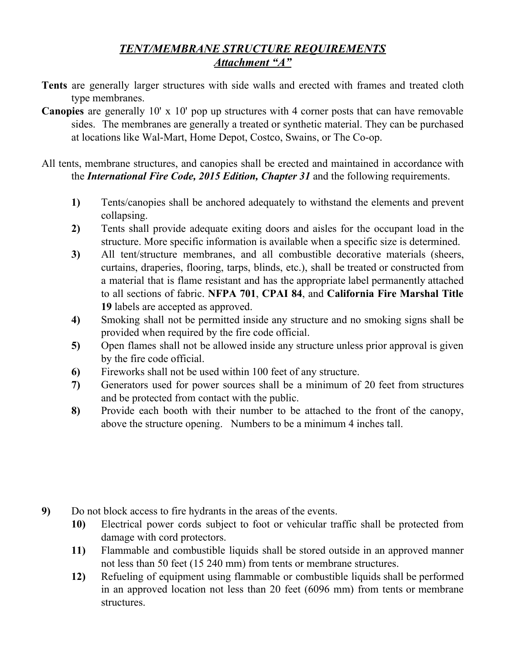## *TENT/MEMBRANE STRUCTURE REQUIREMENTS Attachment "A"*

- **Tents** are generally larger structures with side walls and erected with frames and treated cloth type membranes.
- **Canopies** are generally 10' x 10' pop up structures with 4 corner posts that can have removable sides. The membranes are generally a treated or synthetic material. They can be purchased at locations like Wal-Mart, Home Depot, Costco, Swains, or The Co-op.

All tents, membrane structures, and canopies shall be erected and maintained in accordance with the *International Fire Code, 2015 Edition, Chapter 31* and the following requirements.

- **1)** Tents/canopies shall be anchored adequately to withstand the elements and prevent collapsing.
- **2)** Tents shall provide adequate exiting doors and aisles for the occupant load in the structure. More specific information is available when a specific size is determined.
- **3)** All tent/structure membranes, and all combustible decorative materials (sheers, curtains, draperies, flooring, tarps, blinds, etc.), shall be treated or constructed from a material that is flame resistant and has the appropriate label permanently attached to all sections of fabric. **NFPA 701**, **CPAI 84**, and **California Fire Marshal Title 19** labels are accepted as approved.
- **4)** Smoking shall not be permitted inside any structure and no smoking signs shall be provided when required by the fire code official.
- **5)** Open flames shall not be allowed inside any structure unless prior approval is given by the fire code official.
- **6)** Fireworks shall not be used within 100 feet of any structure.
- **7)** Generators used for power sources shall be a minimum of 20 feet from structures and be protected from contact with the public.
- **8)** Provide each booth with their number to be attached to the front of the canopy, above the structure opening. Numbers to be a minimum 4 inches tall.

- **9)** Do not block access to fire hydrants in the areas of the events.
	- **10)** Electrical power cords subject to foot or vehicular traffic shall be protected from damage with cord protectors.
	- **11)** Flammable and combustible liquids shall be stored outside in an approved manner not less than 50 feet (15 240 mm) from tents or membrane structures.
	- **12)** Refueling of equipment using flammable or combustible liquids shall be performed in an approved location not less than 20 feet (6096 mm) from tents or membrane structures.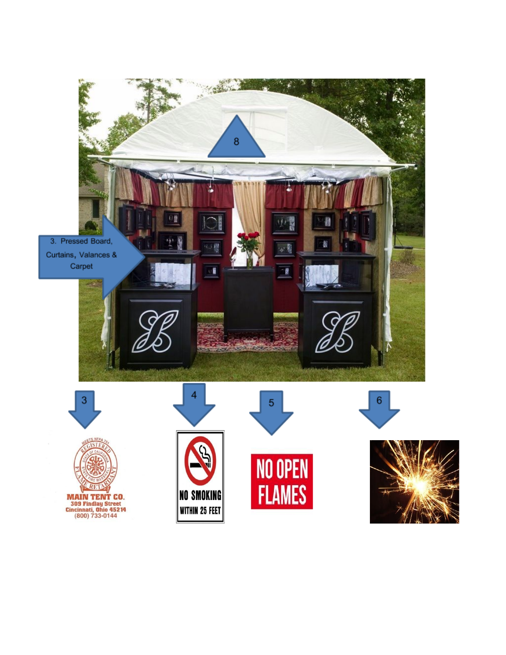